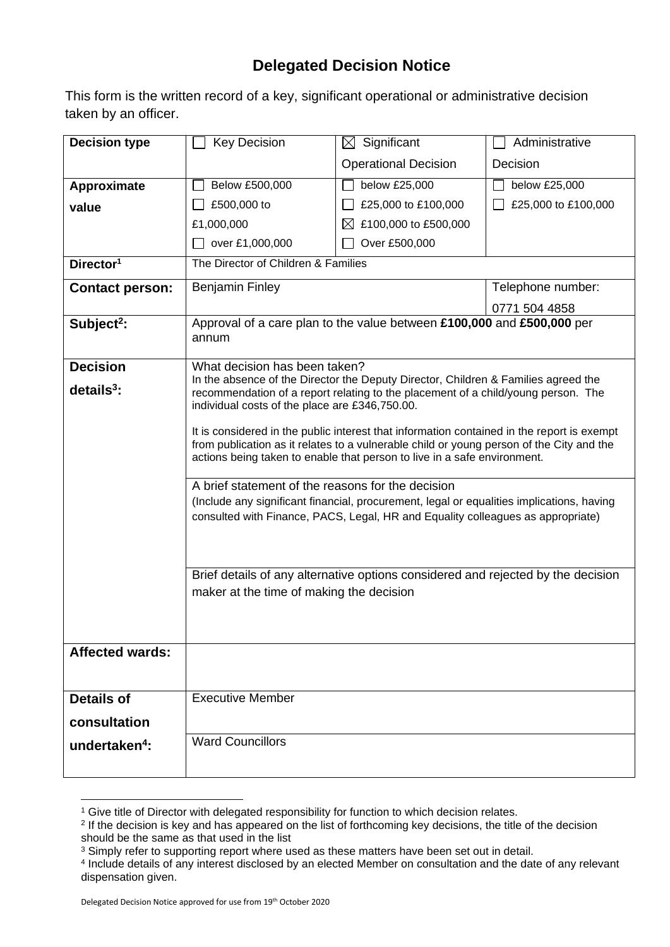## **Delegated Decision Notice**

This form is the written record of a key, significant operational or administrative decision taken by an officer.

| <b>Decision type</b>      | <b>Key Decision</b>                                                                                                                                                                                                                                                                                                     | $\boxtimes$ Significant             | Administrative      |  |
|---------------------------|-------------------------------------------------------------------------------------------------------------------------------------------------------------------------------------------------------------------------------------------------------------------------------------------------------------------------|-------------------------------------|---------------------|--|
|                           |                                                                                                                                                                                                                                                                                                                         | <b>Operational Decision</b>         | Decision            |  |
| Approximate               | Below £500,000                                                                                                                                                                                                                                                                                                          | below £25,000                       | below £25,000       |  |
| value                     | £500,000 to                                                                                                                                                                                                                                                                                                             | £25,000 to £100,000                 | £25,000 to £100,000 |  |
|                           | £1,000,000                                                                                                                                                                                                                                                                                                              | £100,000 to £500,000<br>$\boxtimes$ |                     |  |
|                           | over £1,000,000                                                                                                                                                                                                                                                                                                         | Over £500,000                       |                     |  |
| Director <sup>1</sup>     | The Director of Children & Families                                                                                                                                                                                                                                                                                     |                                     |                     |  |
| <b>Contact person:</b>    | <b>Benjamin Finley</b>                                                                                                                                                                                                                                                                                                  |                                     | Telephone number:   |  |
|                           |                                                                                                                                                                                                                                                                                                                         |                                     | 0771 504 4858       |  |
| Subject <sup>2</sup> :    | Approval of a care plan to the value between £100,000 and £500,000 per<br>annum                                                                                                                                                                                                                                         |                                     |                     |  |
| <b>Decision</b>           | What decision has been taken?                                                                                                                                                                                                                                                                                           |                                     |                     |  |
| $details3$ :              | In the absence of the Director the Deputy Director, Children & Families agreed the<br>recommendation of a report relating to the placement of a child/young person. The<br>individual costs of the place are £346,750.00.                                                                                               |                                     |                     |  |
|                           | It is considered in the public interest that information contained in the report is exempt<br>from publication as it relates to a vulnerable child or young person of the City and the<br>actions being taken to enable that person to live in a safe environment.<br>A brief statement of the reasons for the decision |                                     |                     |  |
|                           | (Include any significant financial, procurement, legal or equalities implications, having<br>consulted with Finance, PACS, Legal, HR and Equality colleagues as appropriate)                                                                                                                                            |                                     |                     |  |
|                           | Brief details of any alternative options considered and rejected by the decision<br>maker at the time of making the decision                                                                                                                                                                                            |                                     |                     |  |
|                           |                                                                                                                                                                                                                                                                                                                         |                                     |                     |  |
| <b>Affected wards:</b>    |                                                                                                                                                                                                                                                                                                                         |                                     |                     |  |
|                           |                                                                                                                                                                                                                                                                                                                         |                                     |                     |  |
| <b>Details of</b>         | <b>Executive Member</b>                                                                                                                                                                                                                                                                                                 |                                     |                     |  |
| consultation              |                                                                                                                                                                                                                                                                                                                         |                                     |                     |  |
| undertaken <sup>4</sup> : | <b>Ward Councillors</b>                                                                                                                                                                                                                                                                                                 |                                     |                     |  |
|                           |                                                                                                                                                                                                                                                                                                                         |                                     |                     |  |

<sup>&</sup>lt;sup>1</sup> Give title of Director with delegated responsibility for function to which decision relates.

<sup>2</sup> If the decision is key and has appeared on the list of forthcoming key decisions, the title of the decision should be the same as that used in the list

<sup>&</sup>lt;sup>3</sup> Simply refer to supporting report where used as these matters have been set out in detail.

<sup>4</sup> Include details of any interest disclosed by an elected Member on consultation and the date of any relevant dispensation given.